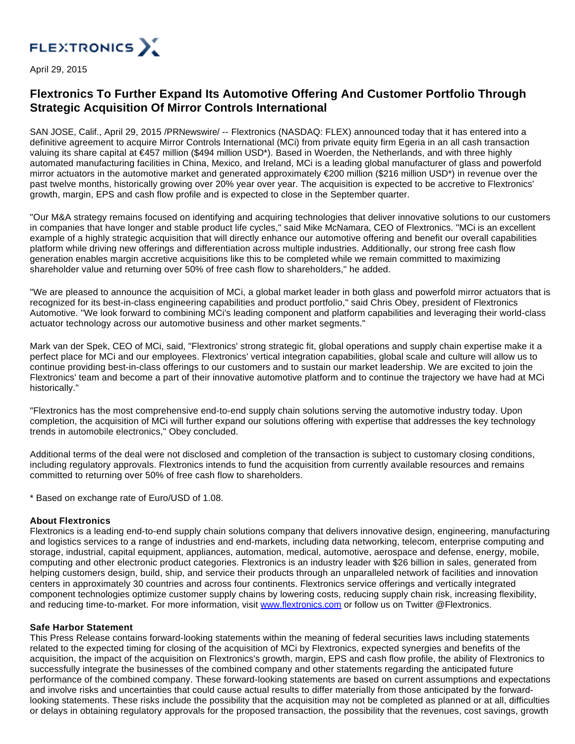

April 29, 2015

## **Flextronics To Further Expand Its Automotive Offering And Customer Portfolio Through Strategic Acquisition Of Mirror Controls International**

SAN JOSE, Calif., April 29, 2015 /PRNewswire/ -- Flextronics (NASDAQ: FLEX) announced today that it has entered into a definitive agreement to acquire Mirror Controls International (MCi) from private equity firm Egeria in an all cash transaction valuing its share capital at €457 million (\$494 million USD\*). Based in Woerden, the Netherlands, and with three highly automated manufacturing facilities in China, Mexico, and Ireland, MCi is a leading global manufacturer of glass and powerfold mirror actuators in the automotive market and generated approximately €200 million (\$216 million USD\*) in revenue over the past twelve months, historically growing over 20% year over year. The acquisition is expected to be accretive to Flextronics' growth, margin, EPS and cash flow profile and is expected to close in the September quarter.

"Our M&A strategy remains focused on identifying and acquiring technologies that deliver innovative solutions to our customers in companies that have longer and stable product life cycles," said Mike McNamara, CEO of Flextronics. "MCi is an excellent example of a highly strategic acquisition that will directly enhance our automotive offering and benefit our overall capabilities platform while driving new offerings and differentiation across multiple industries. Additionally, our strong free cash flow generation enables margin accretive acquisitions like this to be completed while we remain committed to maximizing shareholder value and returning over 50% of free cash flow to shareholders," he added.

"We are pleased to announce the acquisition of MCi, a global market leader in both glass and powerfold mirror actuators that is recognized for its best-in-class engineering capabilities and product portfolio," said Chris Obey, president of Flextronics Automotive. "We look forward to combining MCi's leading component and platform capabilities and leveraging their world-class actuator technology across our automotive business and other market segments."

Mark van der Spek, CEO of MCi, said, "Flextronics' strong strategic fit, global operations and supply chain expertise make it a perfect place for MCi and our employees. Flextronics' vertical integration capabilities, global scale and culture will allow us to continue providing best-in-class offerings to our customers and to sustain our market leadership. We are excited to join the Flextronics' team and become a part of their innovative automotive platform and to continue the trajectory we have had at MCi historically."

"Flextronics has the most comprehensive end-to-end supply chain solutions serving the automotive industry today. Upon completion, the acquisition of MCi will further expand our solutions offering with expertise that addresses the key technology trends in automobile electronics," Obey concluded.

Additional terms of the deal were not disclosed and completion of the transaction is subject to customary closing conditions, including regulatory approvals. Flextronics intends to fund the acquisition from currently available resources and remains committed to returning over 50% of free cash flow to shareholders.

\* Based on exchange rate of Euro/USD of 1.08.

## **About Flextronics**

Flextronics is a leading end-to-end supply chain solutions company that delivers innovative design, engineering, manufacturing and logistics services to a range of industries and end-markets, including data networking, telecom, enterprise computing and storage, industrial, capital equipment, appliances, automation, medical, automotive, aerospace and defense, energy, mobile, computing and other electronic product categories. Flextronics is an industry leader with \$26 billion in sales, generated from helping customers design, build, ship, and service their products through an unparalleled network of facilities and innovation centers in approximately 30 countries and across four continents. Flextronics service offerings and vertically integrated component technologies optimize customer supply chains by lowering costs, reducing supply chain risk, increasing flexibility, and reducing time-to-market. For more information, visit [www.flextronics.com](http://www.flextronics.com/) or follow us on Twitter @Flextronics.

## **Safe Harbor Statement**

This Press Release contains forward-looking statements within the meaning of federal securities laws including statements related to the expected timing for closing of the acquisition of MCi by Flextronics, expected synergies and benefits of the acquisition, the impact of the acquisition on Flextronics's growth, margin, EPS and cash flow profile, the ability of Flextronics to successfully integrate the businesses of the combined company and other statements regarding the anticipated future performance of the combined company. These forward-looking statements are based on current assumptions and expectations and involve risks and uncertainties that could cause actual results to differ materially from those anticipated by the forwardlooking statements. These risks include the possibility that the acquisition may not be completed as planned or at all, difficulties or delays in obtaining regulatory approvals for the proposed transaction, the possibility that the revenues, cost savings, growth